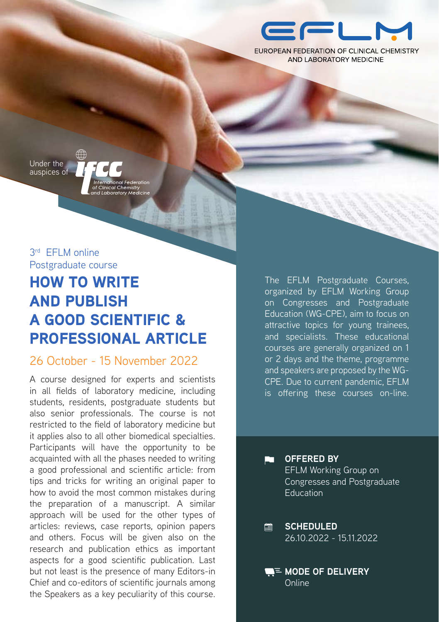

EUROPEAN FEDERATION OF CLINICAL CHEMISTRY AND LABORATORY MEDICINE

Under the auspices of

ionari caci<br>al Chemistr

3rd FFI M online Postgraduate course

# HOW TO WRITE AND PUBLISH A GOOD SCIENTIFIC & PROFESSIONAL ARTICLE

## 26 October - 15 November 2022

A course designed for experts and scientists in all fields of laboratory medicine, including students, residents, postgraduate students but also senior professionals. The course is not restricted to the field of laboratory medicine but it applies also to all other biomedical specialties. Participants will have the opportunity to be acquainted with all the phases needed to writing a good professional and scientific article: from tips and tricks for writing an original paper to how to avoid the most common mistakes during the preparation of a manuscript. A similar approach will be used for the other types of articles: reviews, case reports, opinion papers and others. Focus will be given also on the research and publication ethics as important aspects for a good scientific publication. Last but not least is the presence of many Editors-in Chief and co-editors of scientific journals among the Speakers as a key peculiarity of this course. The EFLM Postgraduate Courses, organized by EFLM Working Group on Congresses and Postgraduate Education (WG-CPE), aim to focus on attractive topics for young trainees, and specialists. These educational courses are generally organized on 1 or 2 days and the theme, programme and speakers are proposed by the WG-CPE. Due to current pandemic, EFLM is offering these courses on-line.

> **OFFERED BY** EFLM Working Group on Congresses and Postgraduate **Education**

**SCHEDULED**  $\Box$ 26.10.2022 - 15.11.2022

C٦

**ME MODE OF DELIVERY** Online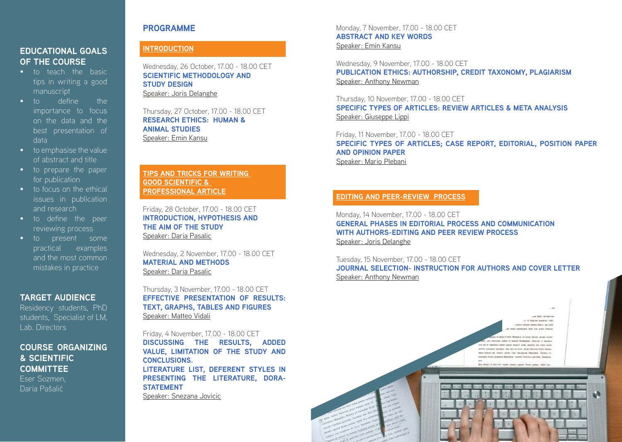# **EDUCATIONAL GOALS OF THE COURSE**

- to teach the basic tips in writing a good manuscript
- to define the importance to focus on the data and the best presentation of data
- to emphasise the value of abstract and title
- to prepare the paper for publication
- to focus on the ethical issues in publication and research
- to define the peer reviewing process
- to present some practical examples and the most common mistakes in practice

# **TARGET AUDIENCE**

Residency students, PhD students, Specialist of LM, Lab. Directors

# **COURSE ORGANIZING & SCIENTIFIC COMMITTEE** Eser Sozmen,

Daria Pašalić

# **INTRODUCTION**

Wednesday, 26 October, 17.00 - 18.00 CET **SCIENTIFIC METHODOLOGY AND STUDY DESIGN** Speaker: Joris Delanghe

Thursday, 27 October, 17.00 - 18.00 CET **RESEARCH ETHICS: HUMAN & ANIMAL STUDIES** Speaker: Emin Kansu

#### **TIPS AND TRICKS FOR WRITING GOOD SCIENTIFIC & PROFESSIONAL ARTICLE**

Friday, 28 October, 17.00 - 18.00 CET **INTRODUCTION, HYPOTHESIS AND THE AIM OF THE STUDY** Speaker: Daria Pasalic

Wednesday, 2 November, 17.00 - 18.00 CET **MATERIAL AND METHODS** Speaker: Daria Pasalic

Thursday, 3 November, 17.00 - 18.00 CET **EFFECTIVE PRESENTATION OF RESULTS: TEXT, GRAPHS, TABLES AND FIGURES** Speaker: Matteo Vidali

Friday, 4 November, 17.00 - 18.00 CET **DISCUSSING THE RESULTS, ADDED VALUE, LIMITATION OF THE STUDY AND CONCLUSIONS. LITERATURE LIST, DEFERENT STYLES IN PRESENTING THE LITERATURE, DORA-STATEMENT** Speaker: Snezana Jovicic

**2. 3.**

**PROGRAMME** Monday, 7 November, 17.00 - 18.00 CET **ABSTRACT AND KEY WORDS** Speaker: Emin Kansu

> Wednesday, 9 November, 17.00 - 18.00 CET **PUBLICATION ETHICS: AUTHORSHIP, CREDIT TAXONOMY, PLAGIARISM** Speaker: Anthony Newman

Thursday, 10 November, 17.00 - 18.00 CET **SPECIFIC TYPES OF ARTICLES: REVIEW ARTICLES & META ANALYSIS** Speaker: Giuseppe Lippi

Friday, 11 November, 17.00 - 18.00 CET **SPECIFIC TYPES OF ARTICLES; CASE REPORT, EDITORIAL, POSITION PAPER AND OPINION PAPER** Speaker: Mario Plebani

# **EDITING AND PEER-REVIEW PROCESS**

Monday, 14 November, 17.00 - 18.00 CET **GENERAL PHASES IN EDITORIAL PROCESS AND COMMUNICATION WITH AUTHORS-EDITING AND PEER REVIEW PROCESS** Speaker: Joris Delanghe

Tuesday, 15 November, 17.00 - 18.00 CET **JOURNAL SELECTION- INSTRUCTION FOR AUTHORS AND COVER LETTER** Speaker: Anthony Newman